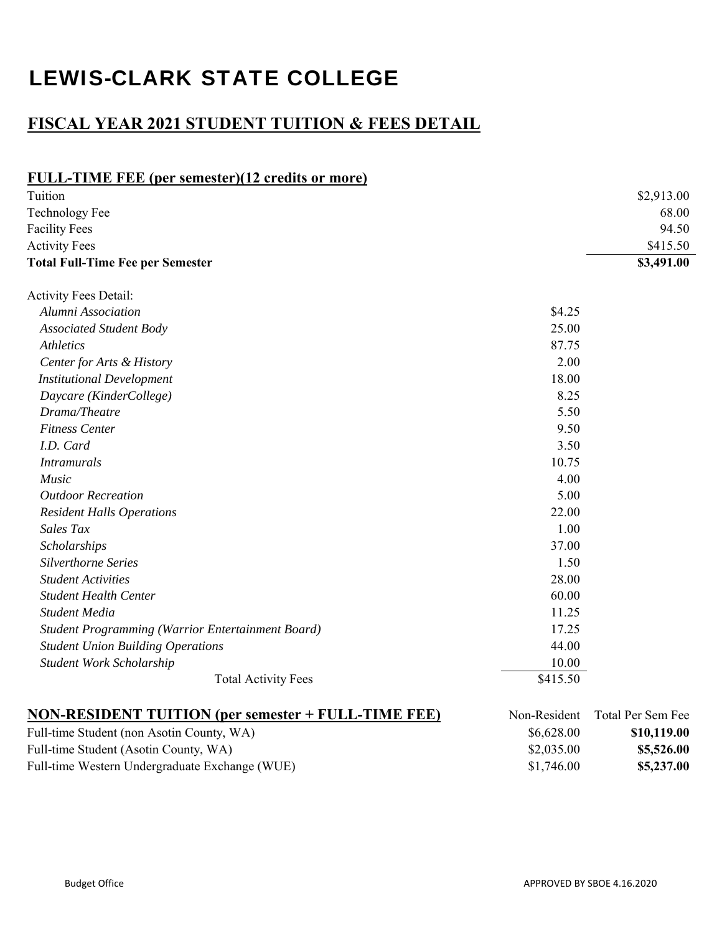## LEWIS-CLARK STATE COLLEGE

## **FISCAL YEAR 2021 STUDENT TUITION & FEES DETAIL**

| <b>FULL-TIME FEE (per semester)(12 credits or more)</b>    |              |                   |
|------------------------------------------------------------|--------------|-------------------|
| Tuition                                                    |              | \$2,913.00        |
| <b>Technology Fee</b>                                      |              | 68.00             |
| <b>Facility Fees</b>                                       |              | 94.50             |
| <b>Activity Fees</b>                                       |              | \$415.50          |
| <b>Total Full-Time Fee per Semester</b>                    |              | \$3,491.00        |
| Activity Fees Detail:                                      |              |                   |
| Alumni Association                                         | \$4.25       |                   |
| <b>Associated Student Body</b>                             | 25.00        |                   |
| <i>Athletics</i>                                           | 87.75        |                   |
| Center for Arts & History                                  | 2.00         |                   |
| <b>Institutional Development</b>                           | 18.00        |                   |
| Daycare (KinderCollege)                                    | 8.25         |                   |
| Drama/Theatre                                              | 5.50         |                   |
| <b>Fitness Center</b>                                      | 9.50         |                   |
| I.D. Card                                                  | 3.50         |                   |
| <b>Intramurals</b>                                         | 10.75        |                   |
| <i>Music</i>                                               | 4.00         |                   |
| <b>Outdoor Recreation</b>                                  | 5.00         |                   |
| <b>Resident Halls Operations</b>                           | 22.00        |                   |
| Sales Tax                                                  | 1.00         |                   |
| Scholarships                                               | 37.00        |                   |
| Silverthorne Series                                        | 1.50         |                   |
| <b>Student Activities</b>                                  | 28.00        |                   |
| <b>Student Health Center</b>                               | 60.00        |                   |
| Student Media                                              | 11.25        |                   |
| Student Programming (Warrior Entertainment Board)          | 17.25        |                   |
| <b>Student Union Building Operations</b>                   | 44.00        |                   |
| Student Work Scholarship                                   | 10.00        |                   |
| <b>Total Activity Fees</b>                                 | \$415.50     |                   |
| <b>NON-RESIDENT TUITION (per semester + FULL-TIME FEE)</b> | Non-Resident | Total Per Sem Fee |
| Full-time Student (non Asotin County, WA)                  | \$6,628.00   | \$10,119.00       |
| Full-time Student (Asotin County, WA)                      | \$2,035.00   | \$5,526.00        |
| Full-time Western Undergraduate Exchange (WUE)             | \$1,746.00   | \$5,237.00        |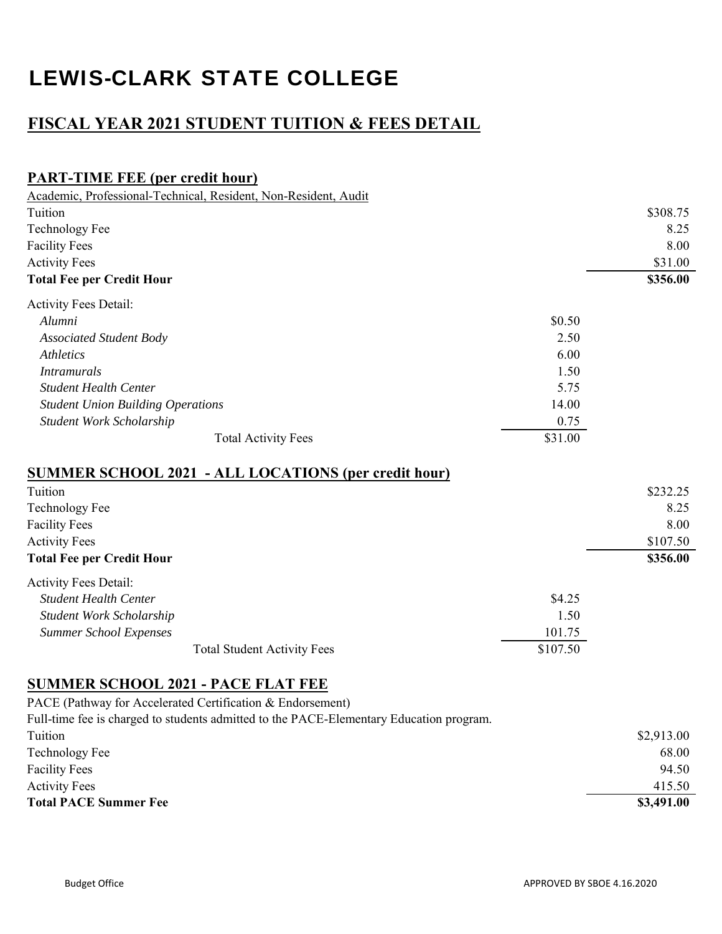# LEWIS-CLARK STATE COLLEGE

## **FISCAL YEAR 2021 STUDENT TUITION & FEES DETAIL**

### **PART-TIME FEE (per credit hour)**

| Academic, Professional-Technical, Resident, Non-Resident, Audit |          |          |
|-----------------------------------------------------------------|----------|----------|
| Tuition                                                         |          | \$308.75 |
| <b>Technology Fee</b>                                           |          | 8.25     |
| <b>Facility Fees</b>                                            |          | 8.00     |
| <b>Activity Fees</b>                                            |          | \$31.00  |
| <b>Total Fee per Credit Hour</b>                                |          | \$356.00 |
| <b>Activity Fees Detail:</b>                                    |          |          |
| Alumni                                                          | \$0.50   |          |
| <b>Associated Student Body</b>                                  | 2.50     |          |
| <b>Athletics</b>                                                | 6.00     |          |
| <i>Intramurals</i>                                              | 1.50     |          |
| <b>Student Health Center</b>                                    | 5.75     |          |
| <b>Student Union Building Operations</b>                        | 14.00    |          |
| Student Work Scholarship                                        | 0.75     |          |
| <b>Total Activity Fees</b>                                      | \$31.00  |          |
| <b>SUMMER SCHOOL 2021 - ALL LOCATIONS (per credit hour)</b>     |          |          |
| Tuition                                                         |          | \$232.25 |
| <b>Technology Fee</b>                                           |          | 8.25     |
| <b>Facility Fees</b>                                            |          | 8.00     |
| <b>Activity Fees</b>                                            |          | \$107.50 |
| <b>Total Fee per Credit Hour</b>                                |          | \$356.00 |
| <b>Activity Fees Detail:</b>                                    |          |          |
| <b>Student Health Center</b>                                    | \$4.25   |          |
| Student Work Scholarship                                        | 1.50     |          |
| <b>Summer School Expenses</b>                                   | 101.75   |          |
| <b>Total Student Activity Fees</b>                              | \$107.50 |          |
|                                                                 |          |          |

#### **SUMMER SCHOOL 2021 - PACE FLAT FEE**

PACE (Pathway for Accelerated Certification & Endorsement)

Full-time fee is charged to students admitted to the PACE-Elementary Education program. Tuition \$2,913.00 Technology Fee 68.00 Facility Fees 94.50 Activity Fees 415.50 **Total PACE Summer Fee \$3,491.00**